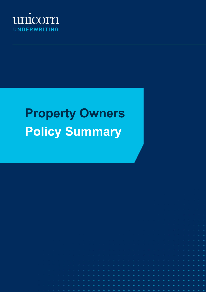

# **Property Owners Policy Summary**

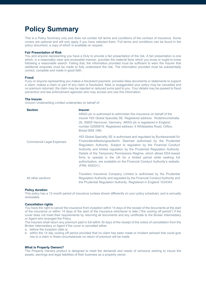# **Policy Summary**

This is a Policy Summary only and does not contain full terms and conditions of the contract of insurance. Some covers are optional and will only apply if you have selected them. Full terms and conditions can be found in the policy document, a copy of which is available on request.

# **Fair Presentation of Risk**

You and anyone representing you have a Duty to provide a fair presentation of the risk. A fair presentation is one which, in a reasonably clear and accessible manner, provides the material facts which you know or ought to know following a reasonable search. Failing that, the information provided must be sufficient to warn the Insurer that additional enquiries must be made to fully understand the risk. The information provided must be substantially correct, complete and made in good faith.

# **Fraud**

If you or anyone representing you makes a fraudulent payment, provides false documents or statements to support a claim, makes a claim or part of any claim is fraudulent, false or exaggerated your policy may be cancelled and no premium returned, the claim may be rejected or reduced sums paid to you. Your details may be passed to fraud prevention and law enforcement agencies who may access and use this information.

#### **The Insurer**

Unicorn Underwriting Limited underwrites on behalf of:

| <b>Section</b>                   | <b>Insurer</b><br>ARAG plc is authorised to administer this insurance on behalf of the<br>insurer HDI Global Specialty SE. Registered address: Roderbruchstraße<br>26, 30655 Hannover, Germany. ARAG plc is registered in England<br>number 02585818. Registered address: 9 Whiteladies Road, Clifton,<br>Bristol BS8 1NN.                                                                                                                                                                                                                      |
|----------------------------------|-------------------------------------------------------------------------------------------------------------------------------------------------------------------------------------------------------------------------------------------------------------------------------------------------------------------------------------------------------------------------------------------------------------------------------------------------------------------------------------------------------------------------------------------------|
| <b>Commercial Legal Expenses</b> | HDI Global Specialty SE is authorised and regulated by Bundesanstalt für<br>Finanzdienstleistungsaufsicht. Deemed authorised by the Prudential<br>Regulation Authority. Subject to regulation by the Financial Conduct<br>Authority and limited regulation by the Prudential Regulation Authority.<br>Details of the Temporary Permissions Regime, which allows EEA-based<br>firms to operate in the UK for a limited period while seeking full<br>authorisation, are available on the Financial Conduct Authority's website.<br>(FRN: 659331). |
| All other sections               | Travelers Insurance Company Limited is authorised by the Prudential<br>Regulation Authority and regulated by the Financial Conduct Authority and<br>the Prudential Regulation Authority. Registered in England 1034343                                                                                                                                                                                                                                                                                                                          |

#### **Policy duration**

This policy has a 12 month period of insurance (unless shown differently on your policy schedule), and is annually renewable.

#### **Cancellation rights**

You have the right to cancel the insurance from inception within 14 days of the receipt of the documents at the start of the insurance or within 14 days of the start of the insurance whichever is later ("the cooling off period") if the cover does not meet their requirements by returning all documents and any certificate to the Broker Intermediary or Agent who arranged the Policy

The Insurers shall return any premium paid in full within 30 days of the receipt of the notice of cancellation from the Broker Intermediary or Agent if the cover is cancelled either

a. before the inception date or

b. within the 14 day cooling off period provided that no claim has been made or incident advised that could give rise to a claim in these circumstances no return of premium will be made

#### **What is Property Owners?**

The Property Owners product is designed to meet the demands and needs of someone wishing to insure the assets, earnings and legal liabilities of their business as a property owner.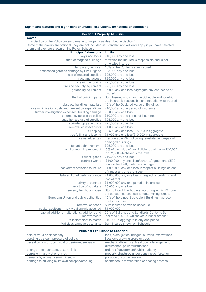# **Significant features and significant or unusual exclusions, limitations or conditions**

# **Section 1 Property All Risks**

**Cover** This Section of the Policy covers damage to Property as described in Section 1

Some of the covers are optional, they are not included as Standard and will only apply if you have selected them and they are shown on the Policy Schedule.

| alon and aloy are shown on alon oldy conculate.<br><b>Principal Extensions</b><br><b>Limits</b> |                                                            |  |
|-------------------------------------------------------------------------------------------------|------------------------------------------------------------|--|
|                                                                                                 | £10,000 any one loss                                       |  |
| keys and locks<br>theft damage to buildings                                                     |                                                            |  |
|                                                                                                 | for which the Insured is responsible and is not            |  |
|                                                                                                 | otherwise insured                                          |  |
| temporary removal                                                                               | 10% of the Contents sum insured                            |  |
| landscaped gardens damage by Fire Brigade                                                       | £25,000 any one loss                                       |  |
| loss of metered supplies                                                                        | £25,000 any one loss                                       |  |
| trace and access                                                                                | £25,000 any one loss                                       |  |
| clearing of drains                                                                              | £25,000 any one loss                                       |  |
| fire and security equipment                                                                     | £25,000 any one loss                                       |  |
| gardening equipment                                                                             | £5,000 any one loss/aggregate any one period of<br>insured |  |
| theft of building parts                                                                         | Sum Insured shown on the Schedule and for which            |  |
|                                                                                                 | the Insured is responsible and not otherwise insured       |  |
| obsolete buildings materials                                                                    | 10% of the Declared Value of Buildings                     |  |
| loss minimisation costs and prevention expenditure                                              | £10,000 any one period of insurance                        |  |
| further investigation expenses, building damage                                                 | £5,000 any one loss                                        |  |
| emergency access by police                                                                      | £10,000 any one period of insurance                        |  |
| unauthorised use of supplies                                                                    | £25,000 any one loss                                       |  |
| sprinkler upgrade costs                                                                         | £25,000 any one claim                                      |  |
| removal of insect nests                                                                         | £1,000 any one loss                                        |  |
| fly tipping                                                                                     | £2,500 any one loss/£15,000 in aggregate                   |  |
| tree felling and lopping                                                                        | £1,000 any one loss/£10,000 in aggregate                   |  |
| value added tax                                                                                 | irrecoverable VAT following reinstatement/repair of        |  |
|                                                                                                 | damaged buildings                                          |  |
| tenant debris removal                                                                           | £25,000 any one loss                                       |  |
| environment improvement                                                                         | 5% of the value of any Buildings claim over £10,000        |  |
|                                                                                                 | or £2,500 whichever is the lower                           |  |
| bailors' goods                                                                                  | £10,000 any one loss                                       |  |
| contract works                                                                                  | £100,000 any one claim/contract/agreement. £500            |  |
|                                                                                                 | excess for theft, malicious damage                         |  |
| inadvertent omission to insure                                                                  | £1,000,000 any one loss in respect buildings or loss       |  |
|                                                                                                 | of rent at any one premises                                |  |
| failure of third party insurance                                                                | £1,000,000 any one loss in respect of buildings and        |  |
|                                                                                                 | loss of rent                                               |  |
| privity of contract                                                                             | £1,000,000 any one period of insurance                     |  |
| eviction of squatters                                                                           | £5,000 any one loss                                        |  |
| seventy two hour clause                                                                         | Storm, Flood, Earthquake: occurring within 72 hours        |  |
|                                                                                                 | period deemed one loss for determining Excess              |  |
| European Union and public authorities                                                           | 15% of the amount payable if Buildings had been            |  |
|                                                                                                 | totally destroyed                                          |  |
| removal of debris                                                                               | Sum insured shown on schedule                              |  |
| capital additions - newly built/newly acquired                                                  | £1,000,000                                                 |  |
| capital additions - alterations, additions and                                                  | 20% of Buildings and Landlords Contents Sum                |  |
| improvements                                                                                    | Insured/£500,000 whichever is lesser amount                |  |
| re-instatement to match                                                                         | £10,000 in aggregate in any one period                     |  |
| Malicious damage by tenants                                                                     | Sum insured shown on Schedule                              |  |

| <b>Principal Exclusions to Section 1</b>                                   |                                                      |  |
|----------------------------------------------------------------------------|------------------------------------------------------|--|
| acts of fraud or dishonesty                                                | land, piers, jetties, bridges, culverts, excavations |  |
| bursting by steam pressure of boilers<br>livestock, growing crops or trees |                                                      |  |
| cessation of work, confiscation, seizure, embargo                          | mechanical/electrical breakdown/derangement/         |  |
|                                                                            | disturbance, power fluctuations                      |  |
| change in temperature, texture, finish                                     | orders of government/public authority                |  |
| corrosion, rust, wet or dry rot                                            | property/structures under construction/erection      |  |
| damage by animal, vermin, insects                                          | pollution or contamination                           |  |
| damage to building by its own collapse/cracking                            | spontaneous fermentation or heating process          |  |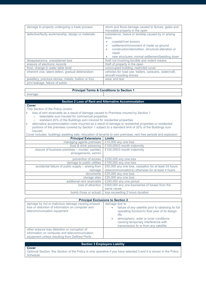| damage to property undergoing a trade process       | storm and flood damage caused to fences, gates and<br>moveable property in the open                                                                                                                                                                         |  |
|-----------------------------------------------------|-------------------------------------------------------------------------------------------------------------------------------------------------------------------------------------------------------------------------------------------------------------|--|
| defective/faulty workmanship, design or materials   | subsidence, heave or landslip caused by or arising<br>from:<br>coastal/river erosion<br>settlement/movement of made up ground<br>$\bullet$<br>construction/demolition, structural alteration or<br>repair<br>new structures; normal settlement/bedding down |  |
| disappearance, unexplained loss                     | theft not involving forcible and violent means                                                                                                                                                                                                              |  |
| erasure of electronic records                       | theft of property in the open                                                                                                                                                                                                                               |  |
| frost, change in water table level                  | unoccupied building; restricted cover                                                                                                                                                                                                                       |  |
| inherent vice, latent defect, gradual deterioration | vehicles for road use, trailers, caravans, watercraft,<br>aircraft including drones                                                                                                                                                                         |  |
| jewellery, precious stones, metals, bullion or furs | wear and tear                                                                                                                                                                                                                                               |  |
| joint leakage, failure of welds                     |                                                                                                                                                                                                                                                             |  |

# **Principal Terms & Conditions to Section 1**

average

# **Section 2 Loss of Rent and Alternative Accommodation**

# **Cover**

This Section of the Policy covers:

• loss of rent receivable as a result of damage caused to Premises insured by Section 1

- o selectable sum insured for commercial properties
- o standard 20% of the Buildings sum insured for residential properties
- alternative accommodation costs incurred as a result of damage to residential properties or residential portions of the premises covered by Section 1 subject to a standard limit of 20% of the Buildings sum insured Cover includes: buildings awaiting sale, relocation of tenants to own premises, rent free periods and explosion

| Cover includes: buildings awaiting sale, relocation of tenants to own premises, rent free periods and explosion |                                                       |  |
|-----------------------------------------------------------------------------------------------------------------|-------------------------------------------------------|--|
| <b>Principal Extensions</b>                                                                                     | <b>Limits</b>                                         |  |
| managing agents premises                                                                                        | £10,000 any one loss                                  |  |
| food & drink poisoning                                                                                          | £100,000/3 month indemnity                            |  |
| closure of business premises - murder, sanitary                                                                 | £100,000/3 month indemnity                            |  |
| arrangements, vermin                                                                                            |                                                       |  |
| prevention of access                                                                                            | £250,000 any one loss                                 |  |
| damage to public utilities                                                                                      | £100,000 any one loss                                 |  |
| accidental failure of public supply - arising from                                                              | £50,000 any one loss, cessation for at least 24 hours |  |
| damage                                                                                                          | (telecommunications) otherwise for at least 4 hours   |  |
| documents                                                                                                       | £25,000 any one loss                                  |  |
| storage sites                                                                                                   | £25,000 any one loss                                  |  |
| additional rent receivable                                                                                      | £250,000 any one period                               |  |
| loss of attraction                                                                                              | £500,000 any one loss/series of losses from the       |  |
|                                                                                                                 | same cause                                            |  |
| bomb (hoax or actual)                                                                                           | loss exceeding 2 hours duration                       |  |

# **Principal Exclusions to Section 2**

| damage by riot or malicious damage causing erasure<br>loss or distortion of information on computer and<br>telecommunication equipment            | damage due to:<br>failure of any satellite prior to obtaining its full<br>operating function/in final year of its design<br>life<br>atmospheric, solar or lunar conditions<br>causing temporary interference with<br>transmission to or from any satellite |  |
|---------------------------------------------------------------------------------------------------------------------------------------------------|------------------------------------------------------------------------------------------------------------------------------------------------------------------------------------------------------------------------------------------------------------|--|
| other erasure loss distortion or corruption of<br>information on computer and telecommunication<br>equipment unless resulting from Defined Perils |                                                                                                                                                                                                                                                            |  |

# **Section 3 Employers Liability**

# **Cover**

Optional Section: this Section of the Policy is only operative if you have selected it and it is shown in the Policy **Schedule**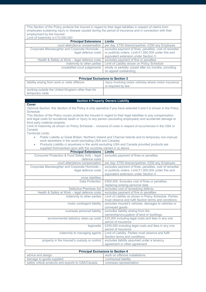This Section of the Policy protects the Insured in regard to their legal liabilities in respect of claims from employees sustaining injury or disease caused during the period of insurance and in connection with their employment by the Insured.

| Limit of Indemnity is $£10,000,000$             |                                                        |  |
|-------------------------------------------------|--------------------------------------------------------|--|
| <b>Principal Extensions</b>                     | Limits                                                 |  |
| court attendance compensation                   | per day: £750 director/partner, £250 any Employee      |  |
| Corporate Manslaughter and Corporate Homicide - | excludes payment of fines, penalties, cost of remedial |  |
| legal defence costs                             | or publicity orders. Limit £1,000,000 under this and   |  |
|                                                 | equivalent extension under Section 5                   |  |
| Health & Safety at Work – legal defence costs   | excludes payment of fine or penalties                  |  |
| indemnity to other parties                      | Limit of Liability shown on Policy Schedule            |  |
| unsatisfied court judgements                    | wholly or partially unpaid after six months, providing |  |
|                                                 | no appeal outstanding                                  |  |

| <b>Principal Exclusions to Section 3</b>                              |                                                       |  |
|-----------------------------------------------------------------------|-------------------------------------------------------|--|
| liability arising from work or visits offshore                        | injury involving motor vehicles where motor insurance |  |
|                                                                       | is required by law                                    |  |
| working outside the United Kingdom other than for<br>temporary visits |                                                       |  |

# **Section 4 Property Owners Liability**

| Cover                                                                                                                            |                                                                                                     |  |
|----------------------------------------------------------------------------------------------------------------------------------|-----------------------------------------------------------------------------------------------------|--|
| Optional Section: this Section of the Policy is only operative if you have selected it and it is shown in the Policy<br>Schedule |                                                                                                     |  |
| This Section of the Policy covers protects the Insured in regard to their legal liabilities to pay compensation                  |                                                                                                     |  |
| and legal costs for accidental death or injury to any person (excluding employees) and accidental damage to                      |                                                                                                     |  |
| third party material property.                                                                                                   |                                                                                                     |  |
|                                                                                                                                  |                                                                                                     |  |
| Limit of Indemnity as shown on Policy Schedule - inclusive of costs in respect of occurrences in the USA or<br>Canada            |                                                                                                     |  |
| <b>Territorial Limits:</b>                                                                                                       |                                                                                                     |  |
|                                                                                                                                  |                                                                                                     |  |
| ۰                                                                                                                                | Public Liability a) Great Britain, Northern Ireland and Channel Islands and b) temporary non-manual |  |
| work elsewhere in the world (excluding USA and Canada)                                                                           |                                                                                                     |  |
| $\bullet$                                                                                                                        | Products Liability c) anywhere in the world excluding USA and Canada provided products are          |  |
| supplied from/worked upon with the countries named in a) above                                                                   |                                                                                                     |  |
| <b>Principal Extensions</b>                                                                                                      | <b>Limits</b>                                                                                       |  |
| Consumer Protection & Food Safety Acts - legal                                                                                   | excludes payment of fines or penalties                                                              |  |
| defence costs                                                                                                                    |                                                                                                     |  |
| court attendance compensation                                                                                                    | per day: £750 director/partner, £250 any Employee                                                   |  |
| Corporate Manslaughter and Corporate Homicide -                                                                                  | excludes payment of fines, penalties, cost of remedial                                              |  |
| legal defence costs                                                                                                              | or publicity orders. Limit £1,000,000 under this and                                                |  |
|                                                                                                                                  | equivalent extension under Section 4                                                                |  |
| cross liabilities                                                                                                                |                                                                                                     |  |
| Data Protection                                                                                                                  | £500,000. Excludes cost of fines or penalties,                                                      |  |
|                                                                                                                                  | replacing erasing personal data                                                                     |  |
| Defective Premises Act                                                                                                           | excludes cost of remedying defects                                                                  |  |
| Health & Safety at Work – legal defence costs                                                                                    | excludes payment of fine or penalties                                                               |  |
| indemnity to other parties                                                                                                       | Limit of Liability as shown in Policy Schedule. Parties                                             |  |
|                                                                                                                                  | must observe and fulfil Section terms and conditions                                                |  |
| motor contingent liability                                                                                                       | excludes insured's vehicles, damages to vehicles or                                                 |  |
|                                                                                                                                  | conveyed goods                                                                                      |  |

overseas personal liability excludes liability arising from the

property in the Insured's custody or control excludes liability assumed under a tenancy

environmental statutory clean-up costs £25,000 including legal costs and fees in any one

period of insurance

period of insurance indemnity to managing agents Limit of Liability. Parties must observe and fulfil

Section terms and conditions

ownership/occupation of land or buildings

legionella £250,000 including legal costs and fees in any one

|                                                    | agreement or other agreement             |
|----------------------------------------------------|------------------------------------------|
|                                                    |                                          |
|                                                    | <b>Principal Exclusions to Section 4</b> |
| advice and design                                  | work on offshore installations           |
| damage to goods supplied                           | contractual liability                    |
| safety critical products and exports to USA/Canada | overseas representation                  |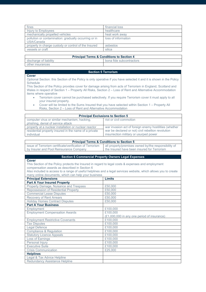| fines                                                               | financial loss      |
|---------------------------------------------------------------------|---------------------|
| Injury to Employees                                                 | healthcare          |
| mechanically propelled vehicles                                     | heat work away      |
| pollution or contamination: gradually occurring or in<br>USA/Canada | loss of information |
| property in charge custody or control of the Insured                | asbestos            |
| vessels or craft                                                    | silica              |

|  | <b>Principal Terms &amp; Conditions to Section 4</b> |  |
|--|------------------------------------------------------|--|
|--|------------------------------------------------------|--|

| discharge<br>.<br>⊴liabilitv<br>ΟŤ | -<br>subcontractors<br>bona<br>fide |
|------------------------------------|-------------------------------------|
| other<br><b>Insurances</b>         |                                     |
|                                    |                                     |

# **Section 5 Terrorism**

# **Cover**

Optional Section: this Section of the Policy is only operative if you have selected it and it is shown in the Policy **Schedule** 

This Section of the Policy provides cover for damage arising from acts of Terrorism in England, Scotland and Wales in respect of Section 1 – Property All Risks, Section 2 – Loss of Rent and Alternative Accommodation items where operative

- Terrorism cover cannot be purchased selectively. If you require Terrorism cover it must apply to all your insured property.
- Cover will be limited to the Sums Insured that you have selected within Section 1 Property All Risks, Section 2 – Loss of Rent and Alternative Accommodation

| <b>Principal Exclusions to Section 5</b>              |                                                        |
|-------------------------------------------------------|--------------------------------------------------------|
| computer virus or similar mechanism, hacking,         | riot or civil commotion                                |
| phishing, denial of service attack                    |                                                        |
| property at a nuclear installation or nuclear reactor | war invasion act of foreign enemy hostilities (whether |
| residential property insured in the name of a private | war be declared or not) civil rebellion revolution     |
| individual                                            | insurrection military or usurped power                 |

# **Principal Terms & Conditions to Section 5**

| issue of Terrorism certificate/verification of Terrorism | all property/premises owned by/the responsibility of |
|----------------------------------------------------------|------------------------------------------------------|
| by Insurer and Pool Reinsurance Company                  | the Insured have been insured for Terrorism          |

# **Section 6 Commercial Property Owners Legal Expenses**

#### **Cover**

Г

This Section of the Policy protects the Insured in regard to legal costs & expenses and employment compensation awards as described in Section 6

Also included is access to a range of useful helplines and a legal services website, which allows you to create many online documents, which can help your business

| <b>Principal Extensions</b>                 | <b>Limits</b>                               |
|---------------------------------------------|---------------------------------------------|
| <b>Part A Your Insured Property</b>         |                                             |
| Property Damage, Nuisance and Trespass      | £50,000                                     |
| <b>Repossession of Residential Property</b> | £50,000                                     |
| <b>Commercial Lease Disputes</b>            | £50,000                                     |
| <b>Recovery of Rent Arrears</b>             | £50,000                                     |
| <b>Holiday Homes Contract Disputes</b>      | £50,000                                     |
| <b>Part A Your Business</b>                 |                                             |
| Employment                                  | £100,000                                    |
| <b>Employment Compensation Awards</b>       | £100,000                                    |
|                                             | (£1,000,000 in any one period of insurance) |
| <b>Employment Restrictive Covenants</b>     | £100.000                                    |
| <b>Tax Disputes</b>                         | £100,000                                    |
| egal Defence                                | £100,000                                    |
| <b>Compliance &amp; Regulation</b>          | £100.000                                    |
| <b>Statutory Licence Appeals</b>            | £100.000                                    |
| Loss of Earnings                            | £100.000                                    |
| Personal Injury                             | £100,000                                    |
| <b>Executive Suite</b>                      | £100,000                                    |
| <b>Crisis Communication</b>                 | £25,000                                     |
| <b>Helplines</b>                            |                                             |
| Legal & Tax Advice Helpline                 |                                             |
| <b>Redundancy Assistance Helpline</b>       |                                             |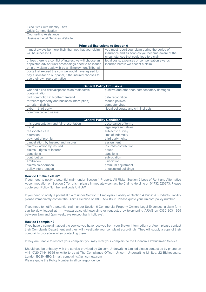| Executive Suite Identity Theft         |  |
|----------------------------------------|--|
| <b>Crisis Communication</b>            |  |
| Counselling Assistance                 |  |
| <b>Business Legal Services Website</b> |  |

| <b>Principal Exclusions to Section 6</b>                                                                                                                                   |                                                                                                                                                  |
|----------------------------------------------------------------------------------------------------------------------------------------------------------------------------|--------------------------------------------------------------------------------------------------------------------------------------------------|
| it must always be more likely than not that your claim<br>will be successful.                                                                                              | you must report your claim during the period of<br>insurance and as soon as you become aware of the<br>circumstances that could lead to a claim. |
| unless there is a conflict of interest we will choose an<br>appointed advisor until proceedings need to be issued<br>or in any claim dealt with by an Employment Tribunal. | legal costs, expenses or compensation awards<br>incurred before we accept a claim.                                                               |
| costs that exceed the sum we would have agreed to<br>pay a solicitor on our panel, if the insured chooses to<br>use their own representative                               |                                                                                                                                                  |

| <b>General Policy Exclusions</b>                                |                                             |
|-----------------------------------------------------------------|---------------------------------------------|
| war and allied risks/dispossession/radioactive<br>contamination | punitive and other non-compensatory damages |
| civil commotion in Northern Ireland                             | date recognition                            |
| terrorism (property and business interruption)                  | marine policies                             |
| terrorism (liability)                                           | computer virus                              |
| $cyber - third$ party                                           | illegal deliberate and criminal acts        |
| communicable disease                                            |                                             |

| <b>General Policy Conditions</b>        |                       |
|-----------------------------------------|-----------------------|
| misrepresentation and fair presentation | observance of terms   |
| fraud                                   | legal representatives |
| reasonable care                         | subject to survey     |
| alteration                              | limit of indemnity    |
| payment of premium                      | third party rights    |
| cancellation, by Insured and Insurer    | assignment            |
| claims - action by Insured              | insureds contribution |
| claims – rights of Insurer              | abuse                 |
| conditions                              | sanctions             |
| contribution                            | subrogation           |
| arbitration                             | <i>iurisdiction</i>   |
| claims co-operation                     | premium adjustment    |
| policy interpretation                   | unoccupied buildings  |

# **How do I make a claim?**

If you need to notify a potential claim under Section 1 Property All Risks, Section 2 Loss of Rent and Alternative Accommodation or Section 5 Terrorism please immediately contact the Claims Helpline on 01732 520273. Please quote your Policy Number and code UNIUW

If you need to notify a potential claim under Section 3 Employers Liability or Section 4 Public & Products Liability please immediately contact the Claims Helpline on 0800 587 8388. Please quote your Unicorn policy number.

If you need to notify a potential claim under Section 6 Commercial Property Owners Legal Expenses, a claim form www.arag.co.uk/newclaims or requested by telephoning ARAG on 0330 303 1955 between 9am and 5pm weekdays (except bank holidays).

# **How do I complain?**

If you have a complaint about the service you have received from your Broker Intermediary or Agent please contact their Complaints Department and they will investigate your complaint accordingly. They will supply a copy of their complaints procedure when contacting them.

If they are unable to resolve your complaint you may refer your complaint to the Financial Ombudsman Service

Should you be unhappy with the service provided by Unicorn Underwriting Limited please contact us by phone on +44 (0)20 7444 9555 or write to us at The Compliance Officer, Unicorn Underwriting Limited, 22 Bishopsgate, London EC2N 4BQ E-mail: [complaints@unicornuw.com](mailto:complaints@unicornuw.com)

Please quote the Policy Number in all correspondence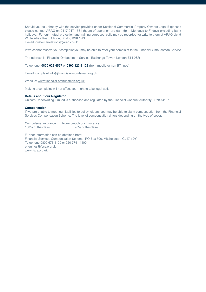Should you be unhappy with the service provided under Section 6 Commercial Property Owners Legal Expenses please contact ARAG on 0117 917 1561 (hours of operation are 9am-5pm, Mondays to Fridays excluding bank holidays. For our mutual protection and training purposes, calls may be recorded) or write to them at ARAG plc, 9 Whiteladies Road, Clifton, Bristol, BS8 1NN. E-mail[: customerrelations@arag.co.uk](mailto:customerrelations@arag.co.uk)

If we cannot resolve your complaint you may be able to refer your complaint to the Financial Ombudsman Service

The address is: Financial Ombudsman Service, Exchange Tower, London E14 9SR

Telephone: **0800 023 4567** or **0300 123 9 123** (from mobile or non BT lines)

E-mail[: complaint.info@financial-ombudsman.org.uk](mailto:complaint.info@financial-ombudsman.org.uk)

Website[: www.financial-ombudsman.org.uk](http://www.financial-ombudsman.org.uk/)

Making a complaint will not affect your right to take legal action

### **Details about our Regulator**

Unicorn Underwriting Limited is authorised and regulated by the Financial Conduct Authority FRN474137.

#### **Compensation**

If we are unable to meet our liabilities to policyholders, you may be able to claim compensation from the Financial Services Compensation Scheme. The level of compensation differs depending on the type of cover:

Compulsory Insurance Non-compulsory Insurance<br>100% of the claim<br>90% of the claim 100% of the claim

Further information can be obtained from: Financial Services Compensation Scheme, PO Box 300, Mitcheldean, GL17 1DY Telephone 0800 678 1100 or 020 7741 4100 enquiries@fscs.org.uk www.fscs.org.uk